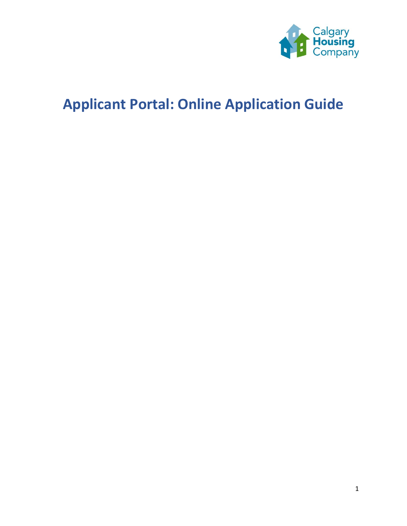

# **Applicant Portal: Online Application Guide**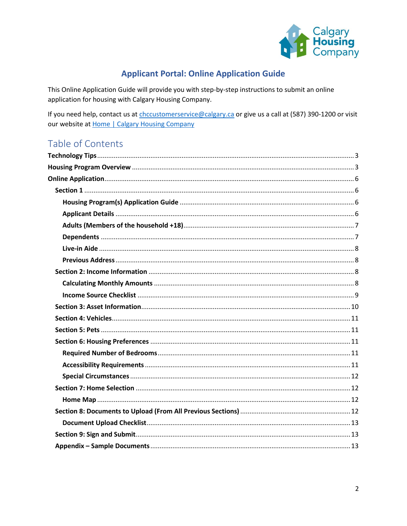

# **Applicant Portal: Online Application Guide**

This Online Application Guide will provide you with step-by-step instructions to submit an online application for housing with Calgary Housing Company.

If you need help, contact us at chccustomerservice@calgary.ca or give us a call at (587) 390-1200 or visit our website at Home | Calgary Housing Company

# Table of Contents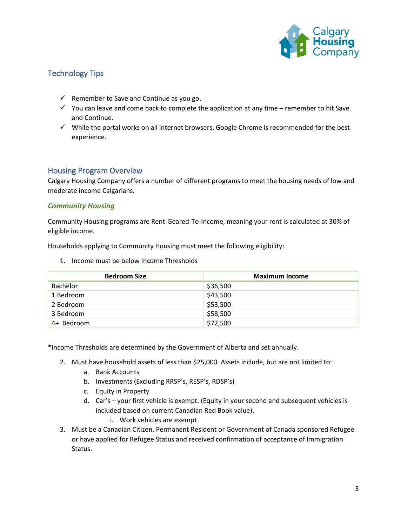

# <span id="page-2-0"></span>Technology Tips

- $\checkmark$  Remember to Save and Continue as you go.
- $\checkmark$  You can leave and come back to complete the application at any time remember to hit Save and Continue.
- ✓ While the portal works on all internet browsers, Google Chrome is recommended for the best experience.

## <span id="page-2-1"></span>Housing Program Overview

Calgary Housing Company offers a number of different programs to meet the housing needs of low and moderate income Calgarians.

#### *Community Housing*

Community Housing programs are Rent-Geared-To-Income, meaning your rent is calculated at 30% of eligible income.

Households applying to Community Housing must meet the following eligibility:

| <b>Bedroom Size</b> | <b>Maximum Income</b> |
|---------------------|-----------------------|
| <b>Bachelor</b>     | \$36,500              |
| 1 Bedroom           | \$43,500              |
| 2 Bedroom           | \$53,500              |
| 3 Bedroom           | \$58,500              |
| 4+ Bedroom          | \$72,500              |

1. Income must be below Income Thresholds

\*Income Thresholds are determined by the Government of Alberta and set annually.

- 2. Must have household assets of less than \$25,000. Assets include, but are not limited to:
	- a. Bank Accounts
	- b. Investments (Excluding RRSP's, RESP's, RDSP's)
	- c. Equity in Property
	- d. Car's your first vehicle is exempt. (Equity in your second and subsequent vehicles is included based on current Canadian Red Book value).
		- i. Work vehicles are exempt
- 3. Must be a Canadian Citizen, Permanent Resident or Government of Canada sponsored Refugee or have applied for Refugee Status and received confirmation of acceptance of Immigration Status.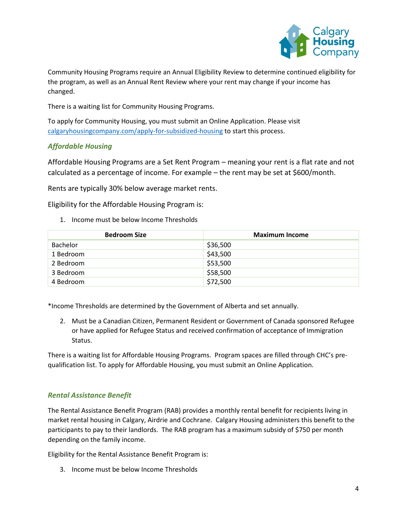

Community Housing Programs require an Annual Eligibility Review to determine continued eligibility for the program, as well as an Annual Rent Review where your rent may change if your income has changed.

There is a waiting list for Community Housing Programs.

To apply for Community Housing, you must submit an Online Application. Please visit [calgaryhousingcompany.com/apply-for-subsidized-housing](https://calgaryhousingcompany.org/apply-for-subsidized-housing/) to start this process.

## *Affordable Housing*

Affordable Housing Programs are a Set Rent Program – meaning your rent is a flat rate and not calculated as a percentage of income. For example – the rent may be set at \$600/month.

Rents are typically 30% below average market rents.

Eligibility for the Affordable Housing Program is:

1. Income must be below Income Thresholds

| <b>Bedroom Size</b> | <b>Maximum Income</b> |
|---------------------|-----------------------|
| Bachelor            | \$36,500              |
| 1 Bedroom           | \$43,500              |
| 2 Bedroom           | \$53,500              |
| 3 Bedroom           | \$58,500              |
| 4 Bedroom           | \$72,500              |

\*Income Thresholds are determined by the Government of Alberta and set annually.

2. Must be a Canadian Citizen, Permanent Resident or Government of Canada sponsored Refugee or have applied for Refugee Status and received confirmation of acceptance of Immigration Status.

There is a waiting list for Affordable Housing Programs. Program spaces are filled through CHC's prequalification list. To apply for Affordable Housing, you must submit an Online Application.

#### *Rental Assistance Benefit*

The Rental Assistance Benefit Program (RAB) provides a monthly rental benefit for recipients living in market rental housing in Calgary, Airdrie and Cochrane. Calgary Housing administers this benefit to the participants to pay to their landlords. The RAB program has a maximum subsidy of \$750 per month depending on the family income.

Eligibility for the Rental Assistance Benefit Program is:

3. Income must be below Income Thresholds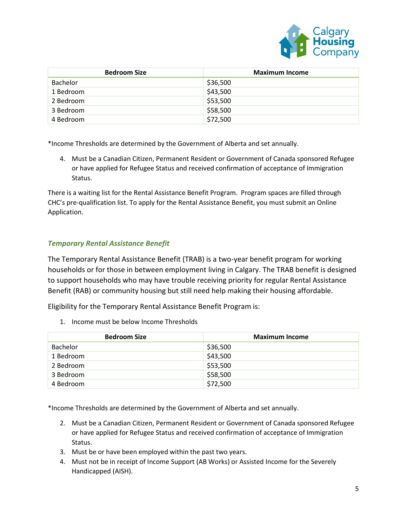

| <b>Bedroom Size</b> | <b>Maximum Income</b> |
|---------------------|-----------------------|
| <b>Bachelor</b>     | \$36,500              |
| 1 Bedroom           | \$43,500              |
| 2 Bedroom           | \$53,500              |
| 3 Bedroom           | \$58,500              |
| 4 Bedroom           | \$72,500              |

\*Income Thresholds are determined by the Government of Alberta and set annually.

4. Must be a Canadian Citizen, Permanent Resident or Government of Canada sponsored Refugee or have applied for Refugee Status and received confirmation of acceptance of Immigration Status.

There is a waiting list for the Rental Assistance Benefit Program. Program spaces are filled through CHC's pre-qualification list. To apply for the Rental Assistance Benefit, you must submit an Online Application.

#### *Temporary Rental Assistance Benefit*

The Temporary Rental Assistance Benefit (TRAB) is a two-year benefit program for working households or for those in between employment living in Calgary. The TRAB benefit is designed to support households who may have trouble receiving priority for regular Rental Assistance Benefit (RAB) or community housing but still need help making their housing affordable.

Eligibility for the Temporary Rental Assistance Benefit Program is:

1. Income must be below Income Thresholds

| <b>Bedroom Size</b> | <b>Maximum Income</b> |
|---------------------|-----------------------|
| <b>Bachelor</b>     | \$36,500              |
| 1 Bedroom           | \$43,500              |
| 2 Bedroom           | \$53,500              |
| 3 Bedroom           | \$58,500              |
| 4 Bedroom           | \$72,500              |

\*Income Thresholds are determined by the Government of Alberta and set annually.

- 2. Must be a Canadian Citizen, Permanent Resident or Government of Canada sponsored Refugee or have applied for Refugee Status and received confirmation of acceptance of Immigration Status.
- 3. Must be or have been employed within the past two years.
- 4. Must not be in receipt of Income Support (AB Works) or Assisted Income for the Severely Handicapped (AISH).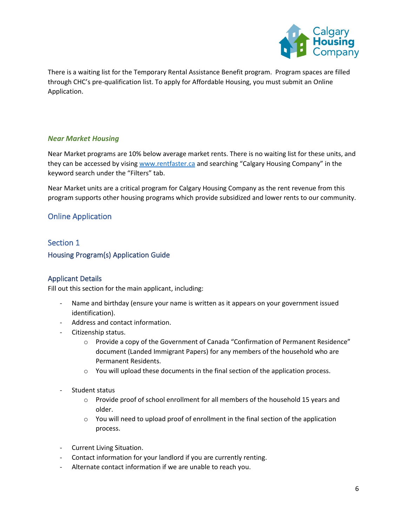

There is a waiting list for the Temporary Rental Assistance Benefit program. Program spaces are filled through CHC's pre-qualification list. To apply for Affordable Housing, you must submit an Online Application.

#### *Near Market Housing*

Near Market programs are 10% below average market rents. There is no waiting list for these units, and they can be accessed by visin[g www.rentfaster.ca](http://www.rentfaster.ca/) and searching "Calgary Housing Company" in the keyword search under the "Filters" tab.

Near Market units are a critical program for Calgary Housing Company as the rent revenue from this program supports other housing programs which provide subsidized and lower rents to our community.

# <span id="page-5-0"></span>Online Application

## <span id="page-5-1"></span>Section 1

#### <span id="page-5-2"></span>Housing Program(s) Application Guide

#### <span id="page-5-3"></span>Applicant Details

Fill out this section for the main applicant, including:

- Name and birthday (ensure your name is written as it appears on your government issued identification).
- Address and contact information.
- Citizenship status.
	- o Provide a copy of the Government of Canada "Confirmation of Permanent Residence" document (Landed Immigrant Papers) for any members of the household who are Permanent Residents.
	- o You will upload these documents in the final section of the application process.
- Student status
	- $\circ$  Provide proof of school enrollment for all members of the household 15 years and older.
	- $\circ$  You will need to upload proof of enrollment in the final section of the application process.
- Current Living Situation.
- Contact information for your landlord if you are currently renting.
- Alternate contact information if we are unable to reach you.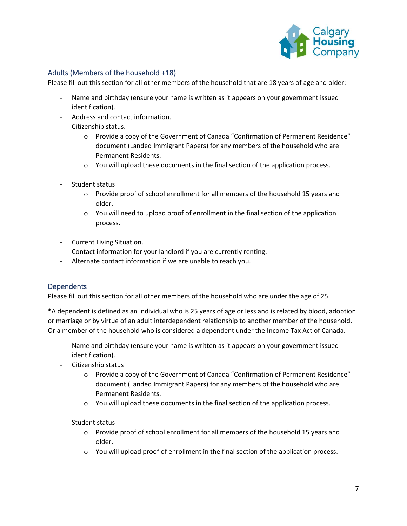

# <span id="page-6-0"></span>Adults (Members of the household +18)

Please fill out this section for all other members of the household that are 18 years of age and older:

- Name and birthday (ensure your name is written as it appears on your government issued identification).
- Address and contact information.
- Citizenship status.
	- $\circ$  Provide a copy of the Government of Canada "Confirmation of Permanent Residence" document (Landed Immigrant Papers) for any members of the household who are Permanent Residents.
	- $\circ$  You will upload these documents in the final section of the application process.
- Student status
	- $\circ$  Provide proof of school enrollment for all members of the household 15 years and older.
	- $\circ$  You will need to upload proof of enrollment in the final section of the application process.
- Current Living Situation.
- Contact information for your landlord if you are currently renting.
- Alternate contact information if we are unable to reach you.

#### <span id="page-6-1"></span>**Dependents**

Please fill out this section for all other members of the household who are under the age of 25.

\*A dependent is defined as an individual who is 25 years of age or less and is related by blood, adoption or marriage or by virtue of an adult interdependent relationship to another member of the household. Or a member of the household who is considered a dependent under the Income Tax Act of Canada.

- Name and birthday (ensure your name is written as it appears on your government issued identification).
- Citizenship status
	- $\circ$  Provide a copy of the Government of Canada "Confirmation of Permanent Residence" document (Landed Immigrant Papers) for any members of the household who are Permanent Residents.
	- $\circ$  You will upload these documents in the final section of the application process.
- Student status
	- $\circ$  Provide proof of school enrollment for all members of the household 15 years and older.
	- $\circ$  You will upload proof of enrollment in the final section of the application process.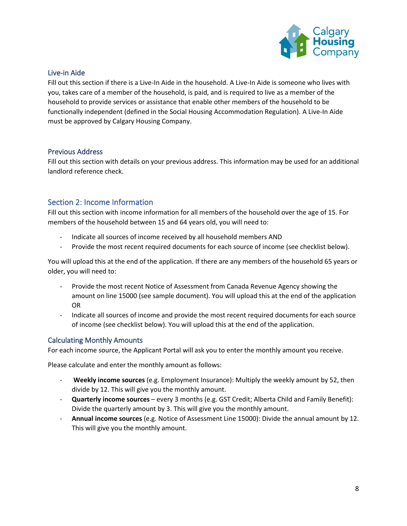

# <span id="page-7-0"></span>Live-in Aide

Fill out this section if there is a Live-In Aide in the household. A Live-In Aide is someone who lives with you, takes care of a member of the household, is paid, and is required to live as a member of the household to provide services or assistance that enable other members of the household to be functionally independent (defined in the Social Housing Accommodation Regulation). A Live-In Aide must be approved by Calgary Housing Company.

#### <span id="page-7-1"></span>Previous Address

Fill out this section with details on your previous address. This information may be used for an additional landlord reference check.

# <span id="page-7-2"></span>Section 2: Income Information

Fill out this section with income information for all members of the household over the age of 15. For members of the household between 15 and 64 years old, you will need to:

- Indicate all sources of income received by all household members AND
- Provide the most recent required documents for each source of income (see checklist below).

You will upload this at the end of the application. If there are any members of the household 65 years or older, you will need to:

- Provide the most recent Notice of Assessment from Canada Revenue Agency showing the amount on line 15000 (see sample document). You will upload this at the end of the application OR
- Indicate all sources of income and provide the most recent required documents for each source of income (see checklist below). You will upload this at the end of the application.

#### <span id="page-7-3"></span>Calculating Monthly Amounts

For each income source, the Applicant Portal will ask you to enter the monthly amount you receive.

Please calculate and enter the monthly amount as follows:

- **Weekly income sources** (e.g. Employment Insurance): Multiply the weekly amount by 52, then divide by 12. This will give you the monthly amount.
- **Quarterly income sources** every 3 months (e.g. GST Credit; Alberta Child and Family Benefit): Divide the quarterly amount by 3. This will give you the monthly amount.
- **Annual income sources** (e.g. Notice of Assessment Line 15000): Divide the annual amount by 12. This will give you the monthly amount.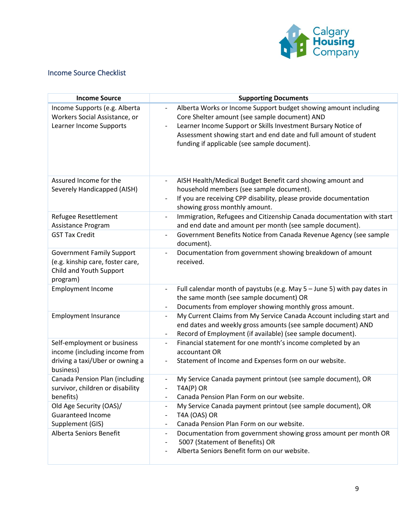

# <span id="page-8-0"></span>Income Source Checklist

| <b>Income Source</b>                                                                                         | <b>Supporting Documents</b>                                                                                                                                                                                                                                                                                                       |
|--------------------------------------------------------------------------------------------------------------|-----------------------------------------------------------------------------------------------------------------------------------------------------------------------------------------------------------------------------------------------------------------------------------------------------------------------------------|
| Income Supports (e.g. Alberta<br>Workers Social Assistance, or<br>Learner Income Supports                    | Alberta Works or Income Support budget showing amount including<br>$\overline{\phantom{0}}$<br>Core Shelter amount (see sample document) AND<br>Learner Income Support or Skills Investment Bursary Notice of<br>Assessment showing start and end date and full amount of student<br>funding if applicable (see sample document). |
| Assured Income for the<br>Severely Handicapped (AISH)                                                        | AISH Health/Medical Budget Benefit card showing amount and<br>$\qquad \qquad \blacksquare$<br>household members (see sample document).<br>If you are receiving CPP disability, please provide documentation<br>showing gross monthly amount.                                                                                      |
| Refugee Resettlement<br>Assistance Program                                                                   | Immigration, Refugees and Citizenship Canada documentation with start<br>$\qquad \qquad \blacksquare$<br>and end date and amount per month (see sample document).                                                                                                                                                                 |
| <b>GST Tax Credit</b>                                                                                        | Government Benefits Notice from Canada Revenue Agency (see sample<br>$\overline{a}$<br>document).                                                                                                                                                                                                                                 |
| <b>Government Family Support</b><br>(e.g. kinship care, foster care,<br>Child and Youth Support<br>program)  | Documentation from government showing breakdown of amount<br>$\overline{\phantom{0}}$<br>received.                                                                                                                                                                                                                                |
| <b>Employment Income</b>                                                                                     | Full calendar month of paystubs (e.g. May $5 -$ June 5) with pay dates in<br>$\overline{\phantom{0}}$<br>the same month (see sample document) OR<br>Documents from employer showing monthly gross amount.<br>$\qquad \qquad \blacksquare$                                                                                         |
| <b>Employment Insurance</b>                                                                                  | My Current Claims from My Service Canada Account including start and<br>$\overline{\phantom{a}}$<br>end dates and weekly gross amounts (see sample document) AND<br>Record of Employment (if available) (see sample document).<br>$\qquad \qquad \blacksquare$                                                                    |
| Self-employment or business<br>income (including income from<br>driving a taxi/Uber or owning a<br>business) | Financial statement for one month's income completed by an<br>$\qquad \qquad -$<br>accountant OR<br>Statement of Income and Expenses form on our website.                                                                                                                                                                         |
| Canada Pension Plan (including<br>survivor, children or disability<br>benefits)                              | My Service Canada payment printout (see sample document), OR<br>$\overline{\phantom{0}}$<br>TAAP) OR<br>Canada Pension Plan Form on our website.                                                                                                                                                                                  |
| Old Age Security (OAS)/<br><b>Guaranteed Income</b><br>Supplement (GIS)                                      | My Service Canada payment printout (see sample document), OR<br>$\overline{\phantom{a}}$<br>T4A (OAS) OR<br>$\qquad \qquad \blacksquare$<br>Canada Pension Plan Form on our website.<br>$\overline{\phantom{a}}$                                                                                                                  |
| Alberta Seniors Benefit                                                                                      | Documentation from government showing gross amount per month OR<br>-<br>5007 (Statement of Benefits) OR<br>Alberta Seniors Benefit form on our website.<br>$\overline{a}$                                                                                                                                                         |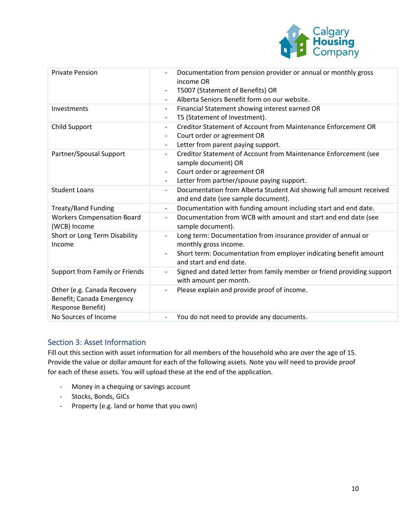

| <b>Private Pension</b>                                                        | Documentation from pension provider or annual or monthly gross<br>income OR<br>T5007 (Statement of Benefits) OR<br>$\overline{\phantom{0}}$<br>Alberta Seniors Benefit form on our website.                                 |
|-------------------------------------------------------------------------------|-----------------------------------------------------------------------------------------------------------------------------------------------------------------------------------------------------------------------------|
| Investments                                                                   | Financial Statement showing interest earned OR<br>$\overline{\phantom{0}}$<br>T5 (Statement of Investment).<br>$\overline{\phantom{a}}$                                                                                     |
| <b>Child Support</b>                                                          | Creditor Statement of Account from Maintenance Enforcement OR<br>Court order or agreement OR<br>$\overline{\phantom{0}}$<br>Letter from parent paying support.<br>$\overline{\phantom{a}}$                                  |
| Partner/Spousal Support                                                       | Creditor Statement of Account from Maintenance Enforcement (see<br>sample document) OR<br>Court order or agreement OR<br>$\overline{\phantom{0}}$<br>Letter from partner/spouse paying support.<br>$\overline{\phantom{0}}$ |
| <b>Student Loans</b>                                                          | Documentation from Alberta Student Aid showing full amount received<br>$\overline{\phantom{0}}$<br>and end date (see sample document).                                                                                      |
| <b>Treaty/Band Funding</b>                                                    | Documentation with funding amount including start and end date.<br>$\overline{\phantom{0}}$                                                                                                                                 |
| <b>Workers Compensation Board</b><br>(WCB) Income                             | Documentation from WCB with amount and start and end date (see<br>$\overline{\phantom{0}}$<br>sample document).                                                                                                             |
| Short or Long Term Disability<br>Income                                       | Long term: Documentation from insurance provider of annual or<br>monthly gross income.<br>Short term: Documentation from employer indicating benefit amount<br>and start and end date.                                      |
| Support from Family or Friends                                                | Signed and dated letter from family member or friend providing support<br>$\overline{\phantom{0}}$<br>with amount per month.                                                                                                |
| Other (e.g. Canada Recovery<br>Benefit; Canada Emergency<br>Response Benefit) | Please explain and provide proof of income.                                                                                                                                                                                 |
| No Sources of Income                                                          | You do not need to provide any documents.                                                                                                                                                                                   |

# <span id="page-9-0"></span>Section 3: Asset Information

Fill out this section with asset information for all members of the household who are over the age of 15. Provide the value or dollar amount for each of the following assets. Note you will need to provide proof for each of these assets. You will upload these at the end of the application.

- Money in a chequing or savings account
- Stocks, Bonds, GICs
- Property (e.g. land or home that you own)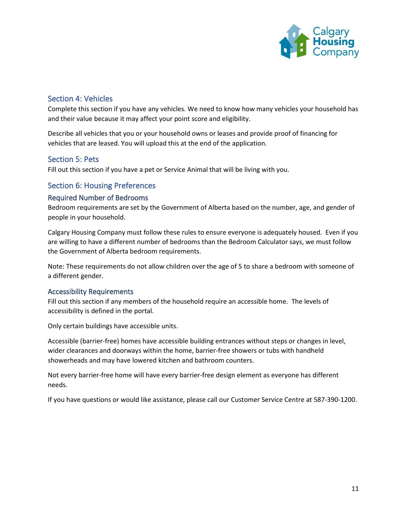

# <span id="page-10-0"></span>Section 4: Vehicles

Complete this section if you have any vehicles. We need to know how many vehicles your household has and their value because it may affect your point score and eligibility.

Describe all vehicles that you or your household owns or leases and provide proof of financing for vehicles that are leased. You will upload this at the end of the application.

# <span id="page-10-1"></span>Section 5: Pets

Fill out this section if you have a pet or Service Animal that will be living with you.

# <span id="page-10-2"></span>Section 6: Housing Preferences

## <span id="page-10-3"></span>Required Number of Bedrooms

Bedroom requirements are set by the Government of Alberta based on the number, age, and gender of people in your household.

Calgary Housing Company must follow these rules to ensure everyone is adequately housed. Even if you are willing to have a different number of bedrooms than the Bedroom Calculator says, we must follow the Government of Alberta bedroom requirements.

Note: These requirements do not allow children over the age of 5 to share a bedroom with someone of a different gender.

#### <span id="page-10-4"></span>Accessibility Requirements

Fill out this section if any members of the household require an accessible home. The levels of accessibility is defined in the portal.

Only certain buildings have accessible units.

Accessible (barrier-free) homes have accessible building entrances without steps or changes in level, wider clearances and doorways within the home, barrier-free showers or tubs with handheld showerheads and may have lowered kitchen and bathroom counters.

Not every barrier-free home will have every barrier-free design element as everyone has different needs.

<span id="page-10-5"></span>If you have questions or would like assistance, please call our Customer Service Centre at 587-390-1200.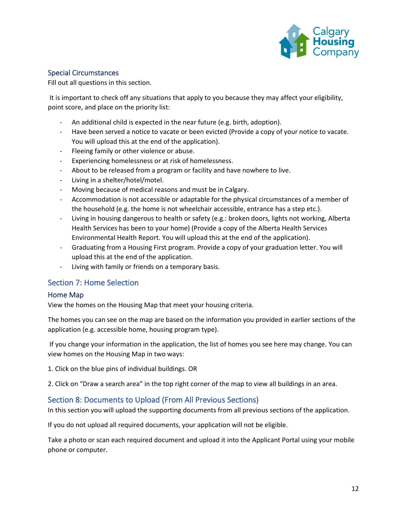

# Special Circumstances

Fill out all questions in this section.

It is important to check off any situations that apply to you because they may affect your eligibility, point score, and place on the priority list:

- An additional child is expected in the near future (e.g. birth, adoption).
- Have been served a notice to vacate or been evicted (Provide a copy of your notice to vacate. You will upload this at the end of the application).
- Fleeing family or other violence or abuse.
- Experiencing homelessness or at risk of homelessness.
- About to be released from a program or facility and have nowhere to live.
- Living in a shelter/hotel/motel.
- Moving because of medical reasons and must be in Calgary.
- Accommodation is not accessible or adaptable for the physical circumstances of a member of the household (e.g. the home is not wheelchair accessible, entrance has a step etc.).
- Living in housing dangerous to health or safety (e.g.: broken doors, lights not working, Alberta Health Services has been to your home) (Provide a copy of the Alberta Health Services Environmental Health Report. You will upload this at the end of the application).
- Graduating from a Housing First program. Provide a copy of your graduation letter. You will upload this at the end of the application.
- Living with family or friends on a temporary basis.

# <span id="page-11-0"></span>Section 7: Home Selection

#### <span id="page-11-1"></span>Home Map

View the homes on the Housing Map that meet your housing criteria.

The homes you can see on the map are based on the information you provided in earlier sections of the application (e.g. accessible home, housing program type).

If you change your information in the application, the list of homes you see here may change. You can view homes on the Housing Map in two ways:

1. Click on the blue pins of individual buildings. OR

2. Click on "Draw a search area" in the top right corner of the map to view all buildings in an area.

# <span id="page-11-2"></span>Section 8: Documents to Upload (From All Previous Sections)

In this section you will upload the supporting documents from all previous sections of the application.

If you do not upload all required documents, your application will not be eligible.

Take a photo or scan each required document and upload it into the Applicant Portal using your mobile phone or computer.